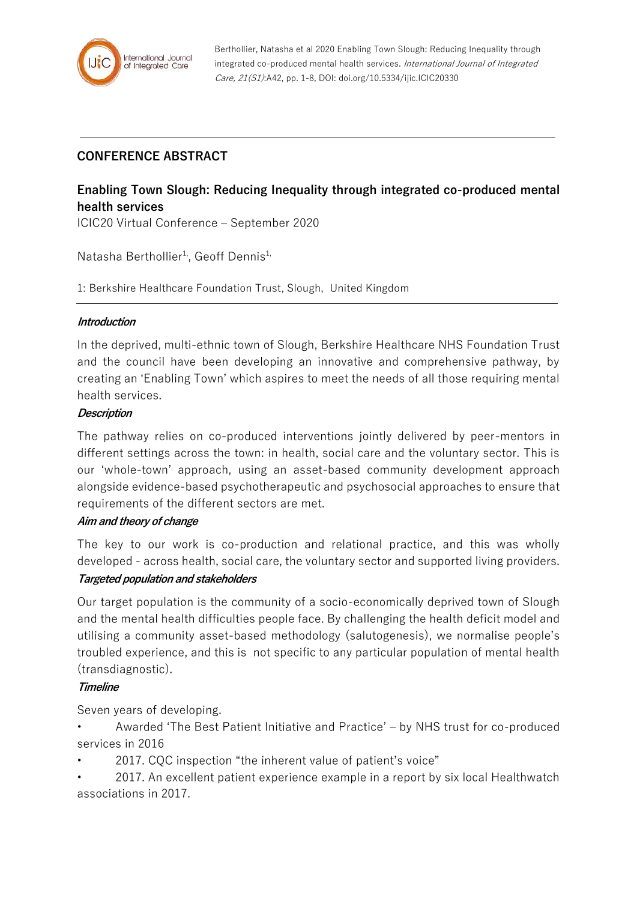

Berthollier, Natasha et al 2020 Enabling Town Slough: Reducing Inequality through integrated co-produced mental health services. International Journal of Integrated Care, 21(S1):A42, pp. 1-8, DOI: doi.org/10.5334/ijic.ICIC20330

## **CONFERENCE ABSTRACT**

# **Enabling Town Slough: Reducing Inequality through integrated co-produced mental health services**

ICIC20 Virtual Conference – September 2020

Natasha Berthollier<sup>1</sup>, Geoff Dennis<sup>1,</sup>

1: Berkshire Healthcare Foundation Trust, Slough, United Kingdom

### **Introduction**

In the deprived, multi-ethnic town of Slough, Berkshire Healthcare NHS Foundation Trust and the council have been developing an innovative and comprehensive pathway, by creating an 'Enabling Town' which aspires to meet the needs of all those requiring mental health services.

### **Description**

The pathway relies on co-produced interventions jointly delivered by peer-mentors in different settings across the town: in health, social care and the voluntary sector. This is our 'whole-town' approach, using an asset-based community development approach alongside evidence-based psychotherapeutic and psychosocial approaches to ensure that requirements of the different sectors are met.

### **Aim and theory of change**

The key to our work is co-production and relational practice, and this was wholly developed - across health, social care, the voluntary sector and supported living providers.

### **Targeted population and stakeholders**

Our target population is the community of a socio-economically deprived town of Slough and the mental health difficulties people face. By challenging the health deficit model and utilising a community asset-based methodology (salutogenesis), we normalise people's troubled experience, and this is not specific to any particular population of mental health (transdiagnostic).

### **Timeline**

Seven years of developing.

• Awarded 'The Best Patient Initiative and Practice' – by NHS trust for co-produced services in 2016

- 2017. CQC inspection "the inherent value of patient's voice"
- 2017. An excellent patient experience example in a report by six local Healthwatch associations in 2017.